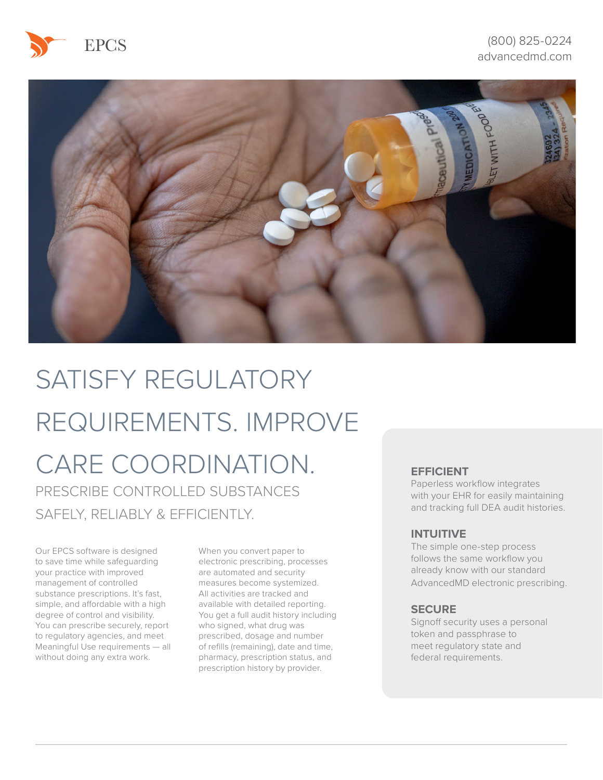



# SATISFY REGULATORY REQUIREMENTS. IMPROVE

# CARE COORDINATION. PRESCRIBE CONTROLLED SUBSTANCES SAFELY, RELIABLY & EFFICIENTLY.

Our EPCS software is designed to save time while safeguarding your practice with improved management of controlled substance prescriptions. It's fast, simple, and affordable with a high degree of control and visibility. You can prescribe securely, report to regulatory agencies, and meet Meaningful Use requirements — all without doing any extra work.

When you convert paper to electronic prescribing, processes are automated and security measures become systemized. All activities are tracked and available with detailed reporting. You get a full audit history including who signed, what drug was prescribed, dosage and number of refills (remaining), date and time, pharmacy, prescription status, and prescription history by provider.

#### **EFFICIENT**

Paperless workflow integrates with your EHR for easily maintaining and tracking full DEA audit histories.

#### **INTUITIVE**

The simple one-step process follows the same workflow you already know with our standard AdvancedMD electronic prescribing.

#### **SECURE**

Signoff security uses a personal token and passphrase to meet regulatory state and federal requirements.